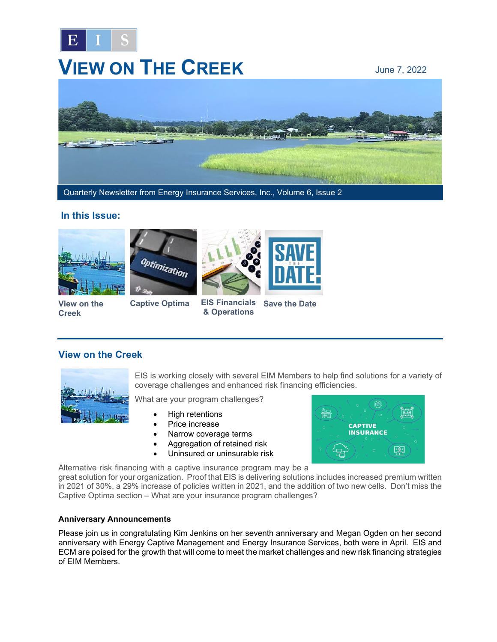

# **VIEW ON THE CREEK** June 7, 2022



Quarterly Newsletter from Energy Insurance Services, Inc., Volume 6, Issue 2

## **In this Issue:**









**View on the Creek**

**[Captive Optima](#page-1-0)** 

**& Operations EIS Financials [Save the Date](#page-2-0)** 

## **View on the Creek**



EIS is working closely with several EIM Members to help find solutions for a variety of coverage challenges and enhanced risk financing efficiencies.

What are your program challenges?

- High retentions
- Price increase
- Narrow coverage terms
- Aggregation of retained risk
- Uninsured or uninsurable risk



Alternative risk financing with a captive insurance program may be a

great solution for your organization. Proof that EIS is delivering solutions includes increased premium written in 2021 of 30%, a 29% increase of policies written in 2021, and the addition of two new cells. Don't miss the Captive Optima section – What are your insurance program challenges?

### **Anniversary Announcements**

Please join us in congratulating Kim Jenkins on her seventh anniversary and Megan Ogden on her second anniversary with Energy Captive Management and Energy Insurance Services, both were in April. EIS and ECM are poised for the growth that will come to meet the market challenges and new risk financing strategies of EIM Members.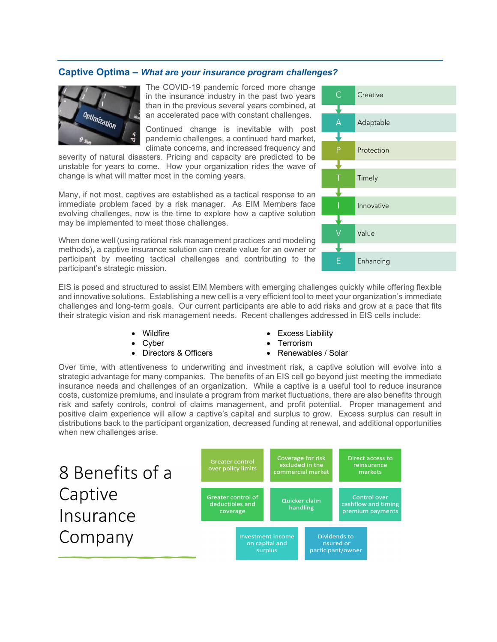#### <span id="page-1-0"></span>**Captive Optima –** *What are your insurance program challenges?*



The COVID-19 pandemic forced more change in the insurance industry in the past two years than in the previous several years combined, at an accelerated pace with constant challenges.

Continued change is inevitable with post pandemic challenges, a continued hard market, climate concerns, and increased frequency and

severity of natural disasters. Pricing and capacity are predicted to be unstable for years to come. How your organization rides the wave of change is what will matter most in the coming years.

Many, if not most, captives are established as a tactical response to an immediate problem faced by a risk manager. As EIM Members face evolving challenges, now is the time to explore how a captive solution may be implemented to meet those challenges.

When done well (using rational risk management practices and modeling methods), a captive insurance solution can create value for an owner or participant by meeting tactical challenges and contributing to the participant's strategic mission.

EIS is posed and structured to assist EIM Members with emerging challenges quickly while offering flexible and innovative solutions. Establishing a new cell is a very efficient tool to meet your organization's immediate challenges and long-term goals. Our current participants are able to add risks and grow at a pace that fits their strategic vision and risk management needs. Recent challenges addressed in EIS cells include:

- Wildfire
- **Cyber**
- Directors & Officers
- Excess Liability
- Terrorism
- Renewables / Solar

Over time, with attentiveness to underwriting and investment risk, a captive solution will evolve into a strategic advantage for many companies. The benefits of an EIS cell go beyond just meeting the immediate insurance needs and challenges of an organization. While a captive is a useful tool to reduce insurance costs, customize premiums, and insulate a program from market fluctuations, there are also benefits through risk and safety controls, control of claims management, and profit potential. Proper management and positive claim experience will allow a captive's capital and surplus to grow. Excess surplus can result in distributions back to the participant organization, decreased funding at renewal, and additional opportunities when new challenges arise.